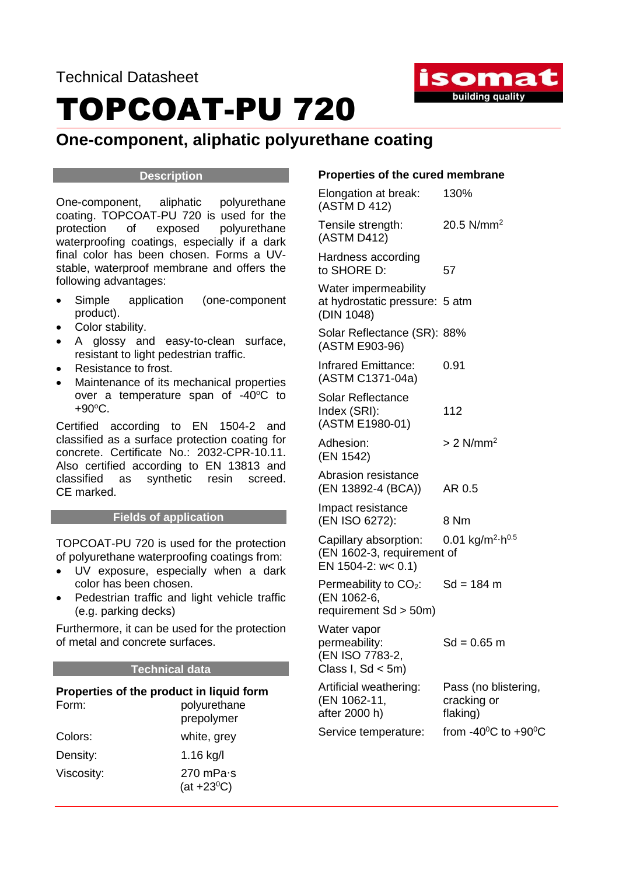

### TOPCOAT-PU 720

#### **One-component, aliphatic polyurethane coating**

#### **Description**

One-component, aliphatic polyurethane coating. TOPCOAT-PU 720 is used for the protection of exposed polyurethane waterproofing coatings, especially if a dark final color has been chosen. Forms a UVstable, waterproof membrane and offers the following advantages:

- Simple application (one-component product).
- Color stability.
- A glossy and easy-to-clean surface, resistant to light pedestrian traffic.
- Resistance to frost.
- Maintenance of its mechanical properties over a temperature span of -40°C to  $+90^{\circ}$ C.

Certified according to EN 1504-2 and classified as a surface protection coating for concrete. Certificate No.: 2032-CPR-10.11. Also certified according to EN 13813 and classified as synthetic resin screed. CE marked.

#### **Fields of application**

TOPCOAT-PU 720 is used for the protection of polyurethane waterproofing coatings from:

- UV exposure, especially when a dark color has been chosen.
- Pedestrian traffic and light vehicle traffic (e.g. parking decks)

Furthermore, it can be used for the protection of metal and concrete surfaces.

#### **Technical data**

#### **Properties of the product in liquid form**

| Form:      | polyurethane<br>prepolymer        |
|------------|-----------------------------------|
| Colors:    | white, grey                       |
| Density:   | 1.16 kg/l                         |
| Viscosity: | 270 mPa $\cdot$ s<br>$(at +23°C)$ |

#### **Properties of the cured membrane**

| Elongation at break:<br>(ASTM D 412)                                          | 130%                                            |
|-------------------------------------------------------------------------------|-------------------------------------------------|
| Tensile strength:<br>(ASTM D412)                                              | 20.5 $N/mm^2$                                   |
| Hardness according<br>to SHORE D:                                             | 57                                              |
| Water impermeability<br>at hydrostatic pressure: 5 atm<br>(DIN 1048)          |                                                 |
| Solar Reflectance (SR): 88%<br>(ASTM E903-96)                                 |                                                 |
| <b>Infrared Emittance:</b><br>(ASTM C1371-04a)                                | 0.91                                            |
| <b>Solar Reflectance</b><br>Index (SRI):<br>(ASTM E1980-01)                   | 112                                             |
| Adhesion:<br>(EN 1542)                                                        | $> 2$ N/mm <sup>2</sup>                         |
| Abrasion resistance<br>(EN 13892-4 (BCA))                                     | AR 0.5                                          |
| Impact resistance<br>(EN ISO 6272):                                           | 8 Nm                                            |
| Capillary absorption:<br>(EN 1602-3, requirement of<br>EN 1504-2: $w < 0.1$ ) | 0.01 kg/m <sup>2</sup> $-h^{0.5}$               |
| Permeability to $CO2$ :<br>(EN 1062-6,<br>requirement $Sd > 50m$ )            | $Sd = 184 m$                                    |
| Water vapor<br>permeability:<br>(EN ISO 7783-2,<br>Class I, $Sd < 5m$ )       | Sd = 0.65 m                                     |
| Artificial weathering:<br>(EN 1062-11,<br>after 2000 h)                       | Pass (no blistering,<br>cracking or<br>flaking) |
| Service temperature:                                                          | from -40 $\mathrm{^0C}$ to +90 $\mathrm{^0C}$   |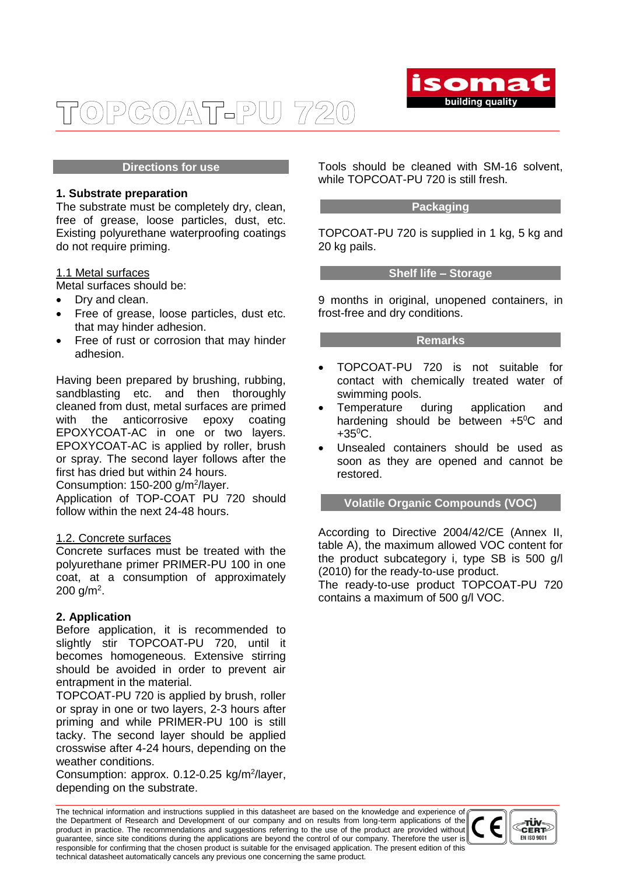

#### COAT-PU 720  $\overline{D}$

#### **Directions for use**

#### **1. Substrate preparation**

The substrate must be completely dry, clean, free of grease, loose particles, dust, etc. Existing polyurethane waterproofing coatings do not require priming.

#### 1.1 Metal surfaces

Metal surfaces should be:

- Dry and clean.
- Free of grease, loose particles, dust etc. that may hinder adhesion.
- Free of rust or corrosion that may hinder adhesion.

Having been prepared by brushing, rubbing, sandblasting etc. and then thoroughly cleaned from dust, metal surfaces are primed with the anticorrosive epoxy coating EPOXYCOAT-AC in one or two layers. EPOXYCOAT-AC is applied by roller, brush or spray. The second layer follows after the first has dried but within 24 hours.

Consumption: 150-200 g/m<sup>2</sup>/layer.

Application of TOP-COAT PU 720 should follow within the next 24-48 hours.

#### 1.2. Concrete surfaces

Concrete surfaces must be treated with the polyurethane primer PRIMER-PU 100 in one coat, at a consumption of approximately  $200$  g/m<sup>2</sup>.

#### **2. Application**

Before application, it is recommended to slightly stir TOPCOAT-PU 720, until it becomes homogeneous. Extensive stirring should be avoided in order to prevent air entrapment in the material.

TOPCOAT-PU 720 is applied by brush, roller or spray in one or two layers, 2-3 hours after priming and while PRIMER-PU 100 is still tacky. The second layer should be applied crosswise after 4-24 hours, depending on the weather conditions.

Consumption: approx. 0.12-0.25 kg/m<sup>2</sup>/layer, depending on the substrate.

Tools should be cleaned with SM-16 solvent, while TOPCOAT-PU 720 is still fresh.

#### **Packaging**

TOPCOAT-PU 720 is supplied in 1 kg, 5 kg and 20 kg pails.

#### **Shelf life – Storage**

9 months in original, unopened containers, in frost-free and dry conditions.

#### **Remarks**

- TOPCOAT-PU 720 is not suitable for contact with chemically treated water of swimming pools.
- Temperature during application and hardening should be between  $+5^{\circ}C$  and  $+35^{\circ}$ C.
- Unsealed containers should be used as soon as they are opened and cannot be restored.

#### **Volatile Organic Compounds (VOC)**

According to Directive 2004/42/CE (Annex II, table A), the maximum allowed VOC content for the product subcategory i, type SB is 500 g/l (2010) for the ready-to-use product.

The ready-to-use product TOPCOAT-PU 720 contains a maximum of 500 g/l VOC.